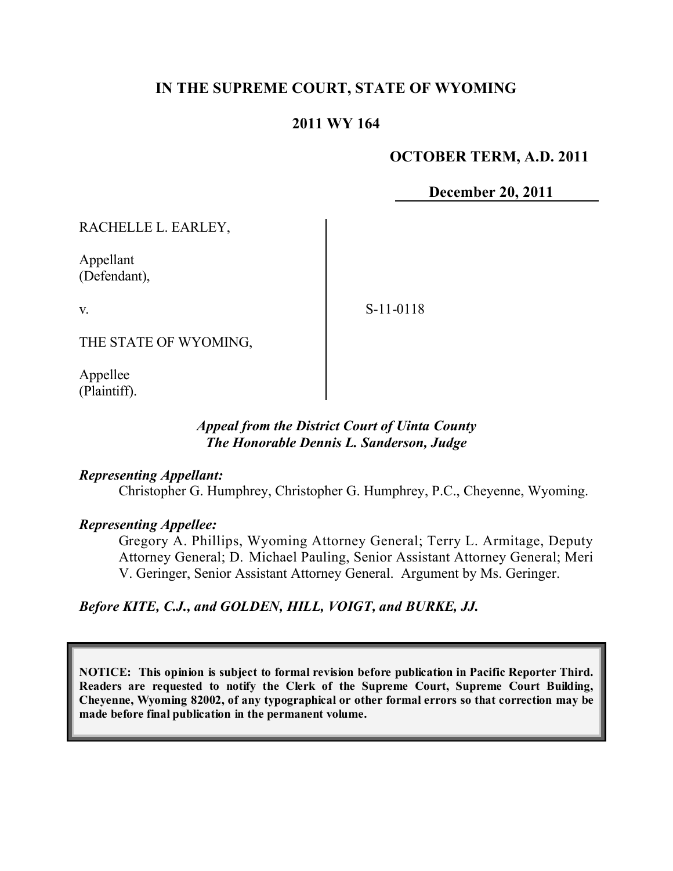# **IN THE SUPREME COURT, STATE OF WYOMING**

# **2011 WY 164**

### **OCTOBER TERM, A.D. 2011**

**December 20, 2011**

RACHELLE L. EARLEY,

Appellant (Defendant),

v.

S-11-0118

THE STATE OF WYOMING,

Appellee (Plaintiff).

### *Appeal from the District Court of Uinta County The Honorable Dennis L. Sanderson, Judge*

#### *Representing Appellant:*

Christopher G. Humphrey, Christopher G. Humphrey, P.C., Cheyenne, Wyoming.

#### *Representing Appellee:*

Gregory A. Phillips, Wyoming Attorney General; Terry L. Armitage, Deputy Attorney General; D. Michael Pauling, Senior Assistant Attorney General; Meri V. Geringer, Senior Assistant Attorney General. Argument by Ms. Geringer.

# *Before KITE, C.J., and GOLDEN, HILL, VOIGT, and BURKE, JJ.*

**NOTICE: This opinion is subject to formal revision before publication in Pacific Reporter Third. Readers are requested to notify the Clerk of the Supreme Court, Supreme Court Building, Cheyenne, Wyoming 82002, of any typographical or other formal errors so that correction may be made before final publication in the permanent volume.**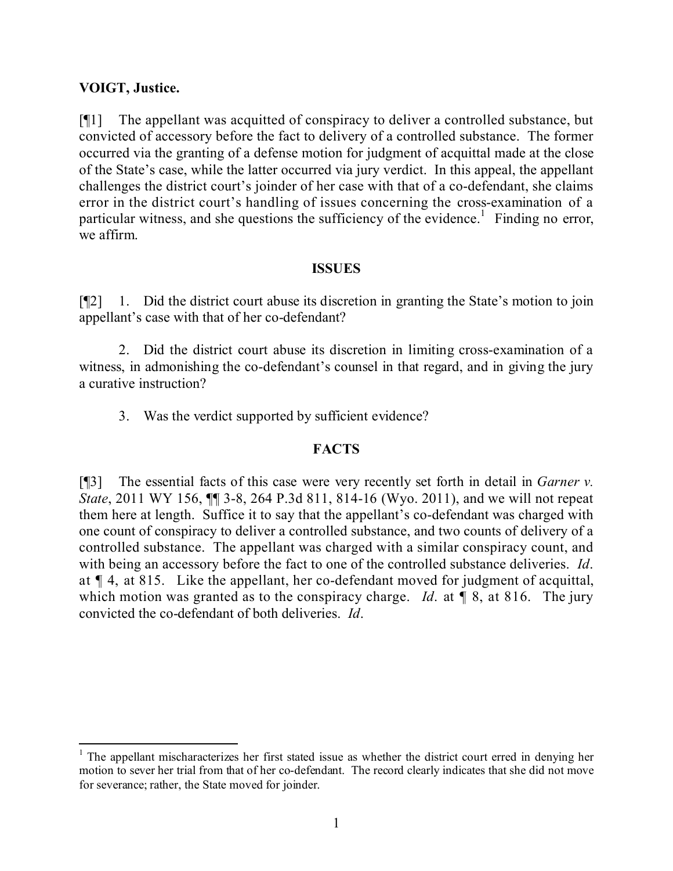## **VOIGT, Justice.**

[¶1] The appellant was acquitted of conspiracy to deliver a controlled substance, but convicted of accessory before the fact to delivery of a controlled substance. The former occurred via the granting of a defense motion for judgment of acquittal made at the close of the State's case, while the latter occurred via jury verdict. In this appeal, the appellant challenges the district court's joinder of her case with that of a co-defendant, she claims error in the district court's handling of issues concerning the cross-examination of a particular witness, and she questions the sufficiency of the evidence.<sup>1</sup> Finding no error, we affirm.

#### **ISSUES**

[¶2] 1. Did the district court abuse its discretion in granting the State's motion to join appellant's case with that of her co-defendant?

2. Did the district court abuse its discretion in limiting cross-examination of a witness, in admonishing the co-defendant's counsel in that regard, and in giving the jury a curative instruction?

3. Was the verdict supported by sufficient evidence?

# **FACTS**

[¶3] The essential facts of this case were very recently set forth in detail in *Garner v. State*, 2011 WY 156, ¶¶ 3-8, 264 P.3d 811, 814-16 (Wyo. 2011), and we will not repeat them here at length. Suffice it to say that the appellant's co-defendant was charged with one count of conspiracy to deliver a controlled substance, and two counts of delivery of a controlled substance. The appellant was charged with a similar conspiracy count, and with being an accessory before the fact to one of the controlled substance deliveries. *Id*. at ¶ 4, at 815. Like the appellant, her co-defendant moved for judgment of acquittal, which motion was granted as to the conspiracy charge. *Id.* at  $\llbracket 8$ , at 816. The jury convicted the co-defendant of both deliveries. *Id*.

 <sup>1</sup> The appellant mischaracterizes her first stated issue as whether the district court erred in denying her motion to sever her trial from that of her co-defendant. The record clearly indicates that she did not move for severance; rather, the State moved for joinder.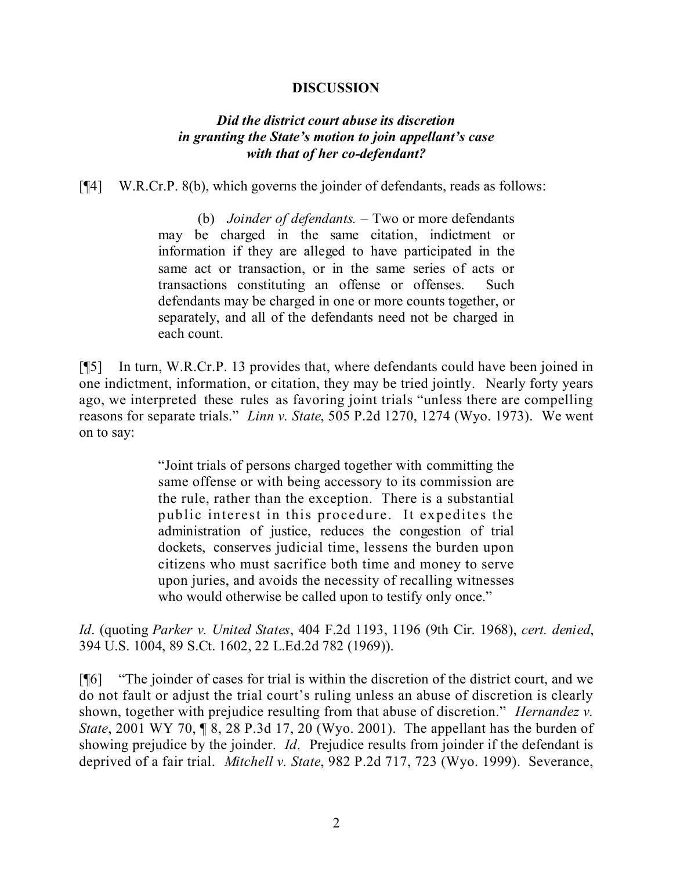#### **DISCUSSION**

# *Did the district court abuse its discretion in granting the State's motion to join appellant's case with that of her co-defendant?*

[¶4] W.R.Cr.P. 8(b), which governs the joinder of defendants, reads as follows:

(b) *Joinder of defendants.* – Two or more defendants may be charged in the same citation, indictment or information if they are alleged to have participated in the same act or transaction, or in the same series of acts or transactions constituting an offense or offenses. Such defendants may be charged in one or more counts together, or separately, and all of the defendants need not be charged in each count.

[¶5] In turn, W.R.Cr.P. 13 provides that, where defendants could have been joined in one indictment, information, or citation, they may be tried jointly. Nearly forty years ago, we interpreted these rules as favoring joint trials "unless there are compelling reasons for separate trials." *Linn v. State*, 505 P.2d 1270, 1274 (Wyo. 1973). We went on to say:

> "Joint trials of persons charged together with committing the same offense or with being accessory to its commission are the rule, rather than the exception. There is a substantial public interest in this procedure. It expedites the administration of justice, reduces the congestion of trial dockets, conserves judicial time, lessens the burden upon citizens who must sacrifice both time and money to serve upon juries, and avoids the necessity of recalling witnesses who would otherwise be called upon to testify only once."

*Id*. (quoting *Parker v. United States*, 404 F.2d 1193, 1196 (9th Cir. 1968), *cert. denied*, 394 U.S. 1004, 89 S.Ct. 1602, 22 L.Ed.2d 782 (1969)).

[¶6] "The joinder of cases for trial is within the discretion of the district court, and we do not fault or adjust the trial court's ruling unless an abuse of discretion is clearly shown, together with prejudice resulting from that abuse of discretion." *Hernandez v. State*, 2001 WY 70, ¶ 8, 28 P.3d 17, 20 (Wyo. 2001). The appellant has the burden of showing prejudice by the joinder. *Id*. Prejudice results from joinder if the defendant is deprived of a fair trial. *Mitchell v. State*, 982 P.2d 717, 723 (Wyo. 1999). Severance,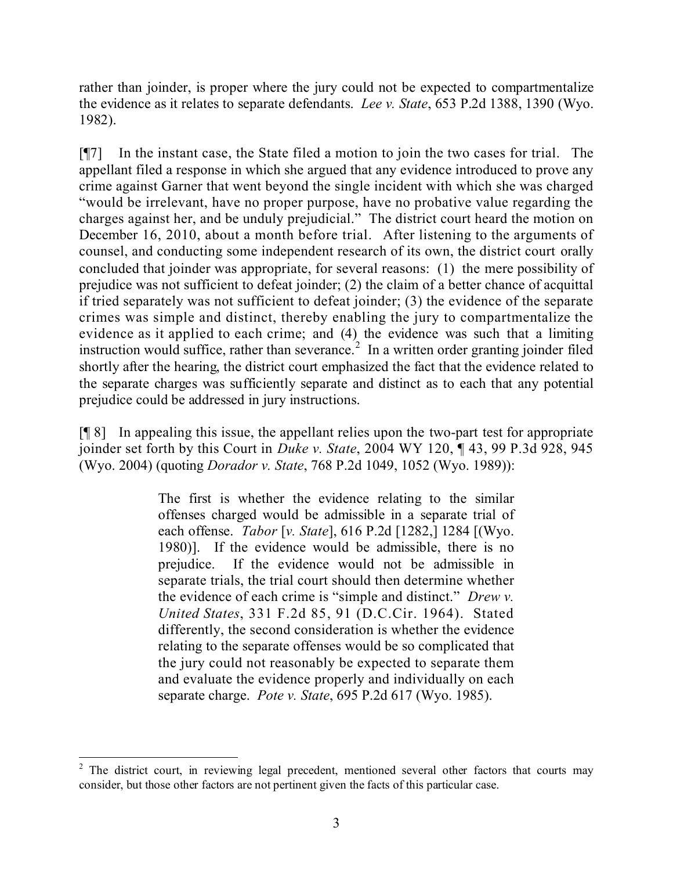rather than joinder, is proper where the jury could not be expected to compartmentalize the evidence as it relates to separate defendants. *Lee v. State*, 653 P.2d 1388, 1390 (Wyo. 1982).

[¶7] In the instant case, the State filed a motion to join the two cases for trial. The appellant filed a response in which she argued that any evidence introduced to prove any crime against Garner that went beyond the single incident with which she was charged "would be irrelevant, have no proper purpose, have no probative value regarding the charges against her, and be unduly prejudicial." The district court heard the motion on December 16, 2010, about a month before trial. After listening to the arguments of counsel, and conducting some independent research of its own, the district court orally concluded that joinder was appropriate, for several reasons: (1) the mere possibility of prejudice was not sufficient to defeat joinder; (2) the claim of a better chance of acquittal if tried separately was not sufficient to defeat joinder; (3) the evidence of the separate crimes was simple and distinct, thereby enabling the jury to compartmentalize the evidence as it applied to each crime; and (4) the evidence was such that a limiting instruction would suffice, rather than severance.<sup>2</sup> In a written order granting joinder filed shortly after the hearing, the district court emphasized the fact that the evidence related to the separate charges was sufficiently separate and distinct as to each that any potential prejudice could be addressed in jury instructions.

[¶ 8] In appealing this issue, the appellant relies upon the two-part test for appropriate joinder set forth by this Court in *Duke v. State*, 2004 WY 120, ¶ 43, 99 P.3d 928, 945 (Wyo. 2004) (quoting *Dorador v. State*, 768 P.2d 1049, 1052 (Wyo. 1989)):

> The first is whether the evidence relating to the similar offenses charged would be admissible in a separate trial of each offense. *Tabor* [*v. State*], 616 P.2d [1282,] 1284 [(Wyo. 1980)]. If the evidence would be admissible, there is no prejudice. If the evidence would not be admissible in separate trials, the trial court should then determine whether the evidence of each crime is "simple and distinct." *Drew v. United States*, 331 F.2d 85, 91 (D.C.Cir. 1964). Stated differently, the second consideration is whether the evidence relating to the separate offenses would be so complicated that the jury could not reasonably be expected to separate them and evaluate the evidence properly and individually on each separate charge. *Pote v. State*, 695 P.2d 617 (Wyo. 1985).

  $2$  The district court, in reviewing legal precedent, mentioned several other factors that courts may consider, but those other factors are not pertinent given the facts of this particular case.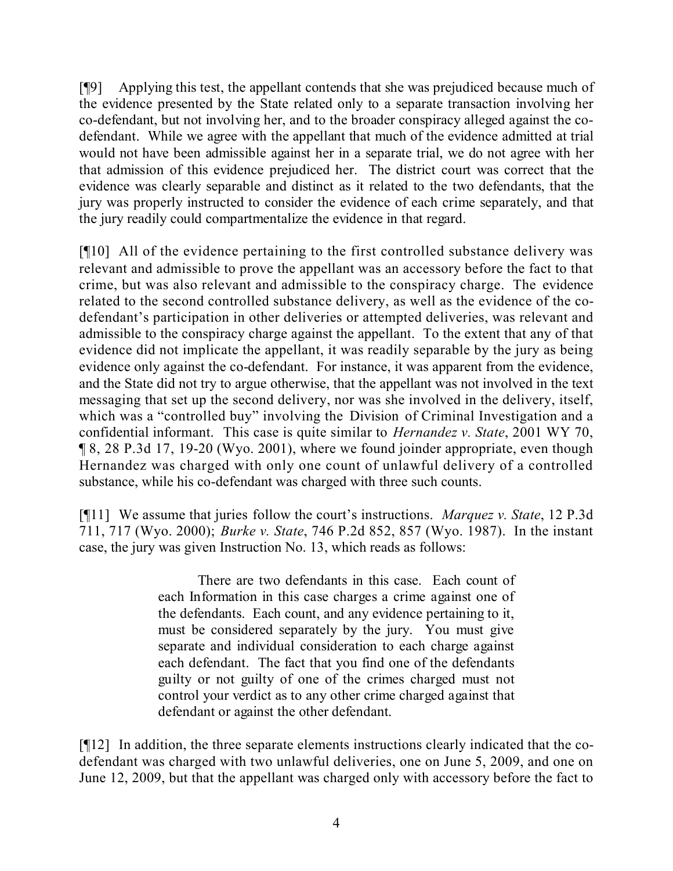[¶9] Applying this test, the appellant contends that she was prejudiced because much of the evidence presented by the State related only to a separate transaction involving her co-defendant, but not involving her, and to the broader conspiracy alleged against the codefendant. While we agree with the appellant that much of the evidence admitted at trial would not have been admissible against her in a separate trial, we do not agree with her that admission of this evidence prejudiced her. The district court was correct that the evidence was clearly separable and distinct as it related to the two defendants, that the jury was properly instructed to consider the evidence of each crime separately, and that the jury readily could compartmentalize the evidence in that regard.

[¶10] All of the evidence pertaining to the first controlled substance delivery was relevant and admissible to prove the appellant was an accessory before the fact to that crime, but was also relevant and admissible to the conspiracy charge. The evidence related to the second controlled substance delivery, as well as the evidence of the codefendant's participation in other deliveries or attempted deliveries, was relevant and admissible to the conspiracy charge against the appellant. To the extent that any of that evidence did not implicate the appellant, it was readily separable by the jury as being evidence only against the co-defendant. For instance, it was apparent from the evidence, and the State did not try to argue otherwise, that the appellant was not involved in the text messaging that set up the second delivery, nor was she involved in the delivery, itself, which was a "controlled buy" involving the Division of Criminal Investigation and a confidential informant. This case is quite similar to *Hernandez v. State*, 2001 WY 70, ¶ 8, 28 P.3d 17, 19-20 (Wyo. 2001), where we found joinder appropriate, even though Hernandez was charged with only one count of unlawful delivery of a controlled substance, while his co-defendant was charged with three such counts.

[¶11] We assume that juries follow the court's instructions. *Marquez v. State*, 12 P.3d 711, 717 (Wyo. 2000); *Burke v. State*, 746 P.2d 852, 857 (Wyo. 1987). In the instant case, the jury was given Instruction No. 13, which reads as follows:

> There are two defendants in this case. Each count of each Information in this case charges a crime against one of the defendants. Each count, and any evidence pertaining to it, must be considered separately by the jury. You must give separate and individual consideration to each charge against each defendant. The fact that you find one of the defendants guilty or not guilty of one of the crimes charged must not control your verdict as to any other crime charged against that defendant or against the other defendant.

[¶12] In addition, the three separate elements instructions clearly indicated that the codefendant was charged with two unlawful deliveries, one on June 5, 2009, and one on June 12, 2009, but that the appellant was charged only with accessory before the fact to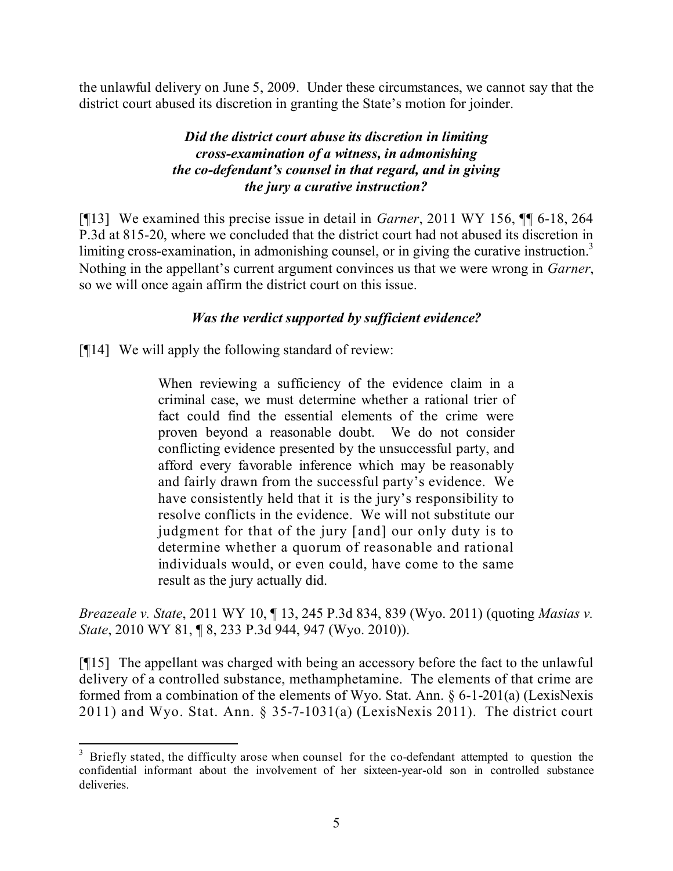the unlawful delivery on June 5, 2009. Under these circumstances, we cannot say that the district court abused its discretion in granting the State's motion for joinder.

# *Did the district court abuse its discretion in limiting cross-examination of a witness, in admonishing the co-defendant's counsel in that regard, and in giving the jury a curative instruction?*

[¶13] We examined this precise issue in detail in *Garner*, 2011 WY 156, ¶¶ 6-18, 264 P.3d at 815-20, where we concluded that the district court had not abused its discretion in limiting cross-examination, in admonishing counsel, or in giving the curative instruction.<sup>3</sup> Nothing in the appellant's current argument convinces us that we were wrong in *Garner*, so we will once again affirm the district court on this issue.

# *Was the verdict supported by sufficient evidence?*

[¶14] We will apply the following standard of review:

When reviewing a sufficiency of the evidence claim in a criminal case, we must determine whether a rational trier of fact could find the essential elements of the crime were proven beyond a reasonable doubt. We do not consider conflicting evidence presented by the unsuccessful party, and afford every favorable inference which may be reasonably and fairly drawn from the successful party's evidence. We have consistently held that it is the jury's responsibility to resolve conflicts in the evidence. We will not substitute our judgment for that of the jury [and] our only duty is to determine whether a quorum of reasonable and rational individuals would, or even could, have come to the same result as the jury actually did.

*Breazeale v. State*, 2011 WY 10, ¶ 13, 245 P.3d 834, 839 (Wyo. 2011) (quoting *Masias v. State*, 2010 WY 81, ¶ 8, 233 P.3d 944, 947 (Wyo. 2010)).

[¶15] The appellant was charged with being an accessory before the fact to the unlawful delivery of a controlled substance, methamphetamine. The elements of that crime are formed from a combination of the elements of Wyo. Stat. Ann. § 6-1-201(a) (LexisNexis 2011) and Wyo. Stat. Ann. § 35-7-1031(a) (LexisNexis 2011). The district court

 <sup>3</sup> Briefly stated, the difficulty arose when counsel for the co-defendant attempted to question the confidential informant about the involvement of her sixteen-year-old son in controlled substance deliveries.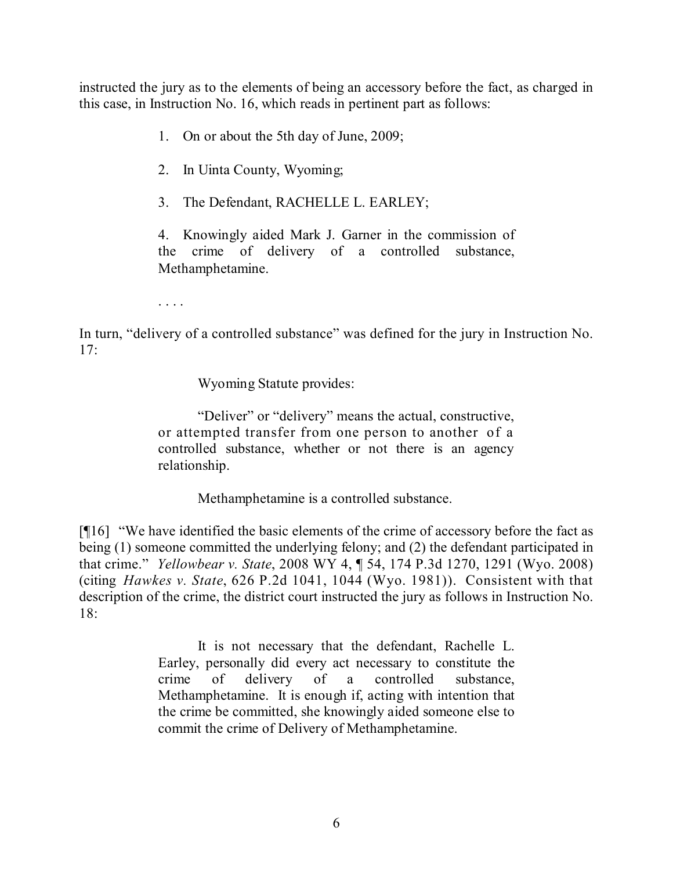instructed the jury as to the elements of being an accessory before the fact, as charged in this case, in Instruction No. 16, which reads in pertinent part as follows:

- 1. On or about the 5th day of June, 2009;
- 2. In Uinta County, Wyoming;
- 3. The Defendant, RACHELLE L. EARLEY;

4. Knowingly aided Mark J. Garner in the commission of the crime of delivery of a controlled substance, Methamphetamine.

. . . .

In turn, "delivery of a controlled substance" was defined for the jury in Instruction No. 17:

Wyoming Statute provides:

"Deliver" or "delivery" means the actual, constructive, or attempted transfer from one person to another of a controlled substance, whether or not there is an agency relationship.

Methamphetamine is a controlled substance.

[¶16] "We have identified the basic elements of the crime of accessory before the fact as being (1) someone committed the underlying felony; and (2) the defendant participated in that crime." *Yellowbear v. State*, 2008 WY 4, ¶ 54, 174 P.3d 1270, 1291 (Wyo. 2008) (citing *Hawkes v. State*, 626 P.2d 1041, 1044 (Wyo. 1981)). Consistent with that description of the crime, the district court instructed the jury as follows in Instruction No.  $18<sup>°</sup>$ 

> It is not necessary that the defendant, Rachelle L. Earley, personally did every act necessary to constitute the crime of delivery of a controlled substance, Methamphetamine. It is enough if, acting with intention that the crime be committed, she knowingly aided someone else to commit the crime of Delivery of Methamphetamine.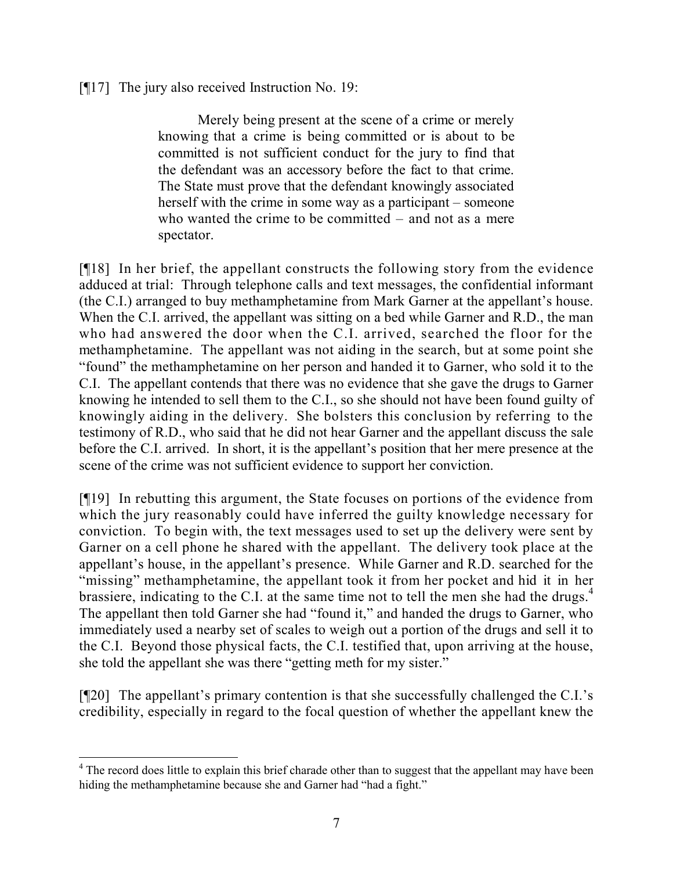[¶17] The jury also received Instruction No. 19:

Merely being present at the scene of a crime or merely knowing that a crime is being committed or is about to be committed is not sufficient conduct for the jury to find that the defendant was an accessory before the fact to that crime. The State must prove that the defendant knowingly associated herself with the crime in some way as a participant – someone who wanted the crime to be committed – and not as a mere spectator.

[¶18] In her brief, the appellant constructs the following story from the evidence adduced at trial: Through telephone calls and text messages, the confidential informant (the C.I.) arranged to buy methamphetamine from Mark Garner at the appellant's house. When the C.I. arrived, the appellant was sitting on a bed while Garner and R.D., the man who had answered the door when the C.I. arrived, searched the floor for the methamphetamine. The appellant was not aiding in the search, but at some point she "found" the methamphetamine on her person and handed it to Garner, who sold it to the C.I. The appellant contends that there was no evidence that she gave the drugs to Garner knowing he intended to sell them to the C.I., so she should not have been found guilty of knowingly aiding in the delivery. She bolsters this conclusion by referring to the testimony of R.D., who said that he did not hear Garner and the appellant discuss the sale before the C.I. arrived. In short, it is the appellant's position that her mere presence at the scene of the crime was not sufficient evidence to support her conviction.

[¶19] In rebutting this argument, the State focuses on portions of the evidence from which the jury reasonably could have inferred the guilty knowledge necessary for conviction. To begin with, the text messages used to set up the delivery were sent by Garner on a cell phone he shared with the appellant. The delivery took place at the appellant's house, in the appellant's presence. While Garner and R.D. searched for the "missing" methamphetamine, the appellant took it from her pocket and hid it in her brassiere, indicating to the C.I. at the same time not to tell the men she had the drugs.<sup>4</sup> The appellant then told Garner she had "found it," and handed the drugs to Garner, who immediately used a nearby set of scales to weigh out a portion of the drugs and sell it to the C.I. Beyond those physical facts, the C.I. testified that, upon arriving at the house, she told the appellant she was there "getting meth for my sister."

[¶20] The appellant's primary contention is that she successfully challenged the C.I.'s credibility, especially in regard to the focal question of whether the appellant knew the

 <sup>4</sup> The record does little to explain this brief charade other than to suggest that the appellant may have been hiding the methamphetamine because she and Garner had "had a fight."